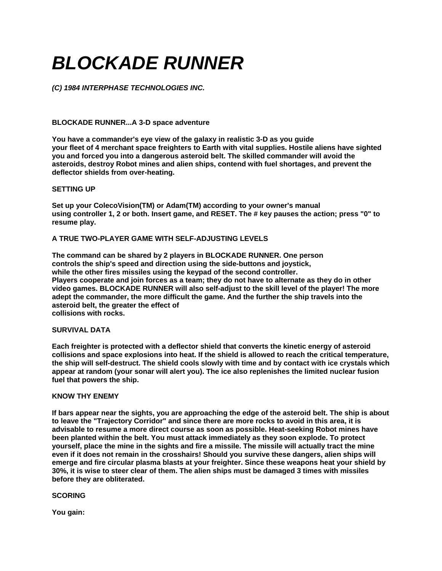# *BLOCKADE RUNNER*

*(C) 1984 INTERPHASE TECHNOLOGIES INC.* 

# **BLOCKADE RUNNER...A 3-D space adventure**

**You have a commander's eye view of the galaxy in realistic 3-D as you guide your fleet of 4 merchant space freighters to Earth with vital supplies. Hostile aliens have sighted you and forced you into a dangerous asteroid belt. The skilled commander will avoid the asteroids, destroy Robot mines and alien ships, contend with fuel shortages, and prevent the deflector shields from over-heating.** 

#### **SETTING UP**

**Set up your ColecoVision(TM) or Adam(TM) according to your owner's manual using controller 1, 2 or both. Insert game, and RESET. The # key pauses the action; press "0" to resume play.** 

# **A TRUE TWO-PLAYER GAME WITH SELF-ADJUSTING LEVELS**

**The command can be shared by 2 players in BLOCKADE RUNNER. One person controls the ship's speed and direction using the side-buttons and joystick, while the other fires missiles using the keypad of the second controller. Players cooperate and join forces as a team; they do not have to alternate as they do in other video games. BLOCKADE RUNNER will also self-adjust to the skill level of the player! The more adept the commander, the more difficult the game. And the further the ship travels into the asteroid belt, the greater the effect of collisions with rocks.** 

#### **SURVIVAL DATA**

**Each freighter is protected with a deflector shield that converts the kinetic energy of asteroid collisions and space explosions into heat. If the shield is allowed to reach the critical temperature, the ship will self-destruct. The shield cools slowly with time and by contact with ice crystals which appear at random (your sonar will alert you). The ice also replenishes the limited nuclear fusion fuel that powers the ship.** 

### **KNOW THY ENEMY**

**If bars appear near the sights, you are approaching the edge of the asteroid belt. The ship is about to leave the "Trajectory Corridor" and since there are more rocks to avoid in this area, it is advisable to resume a more direct course as soon as possible. Heat-seeking Robot mines have been planted within the belt. You must attack immediately as they soon explode. To protect yourself, place the mine in the sights and fire a missile. The missile will actually tract the mine even if it does not remain in the crosshairs! Should you survive these dangers, alien ships will emerge and fire circular plasma blasts at your freighter. Since these weapons heat your shield by 30%, it is wise to steer clear of them. The alien ships must be damaged 3 times with missiles before they are obliterated.** 

#### **SCORING**

**You gain:**